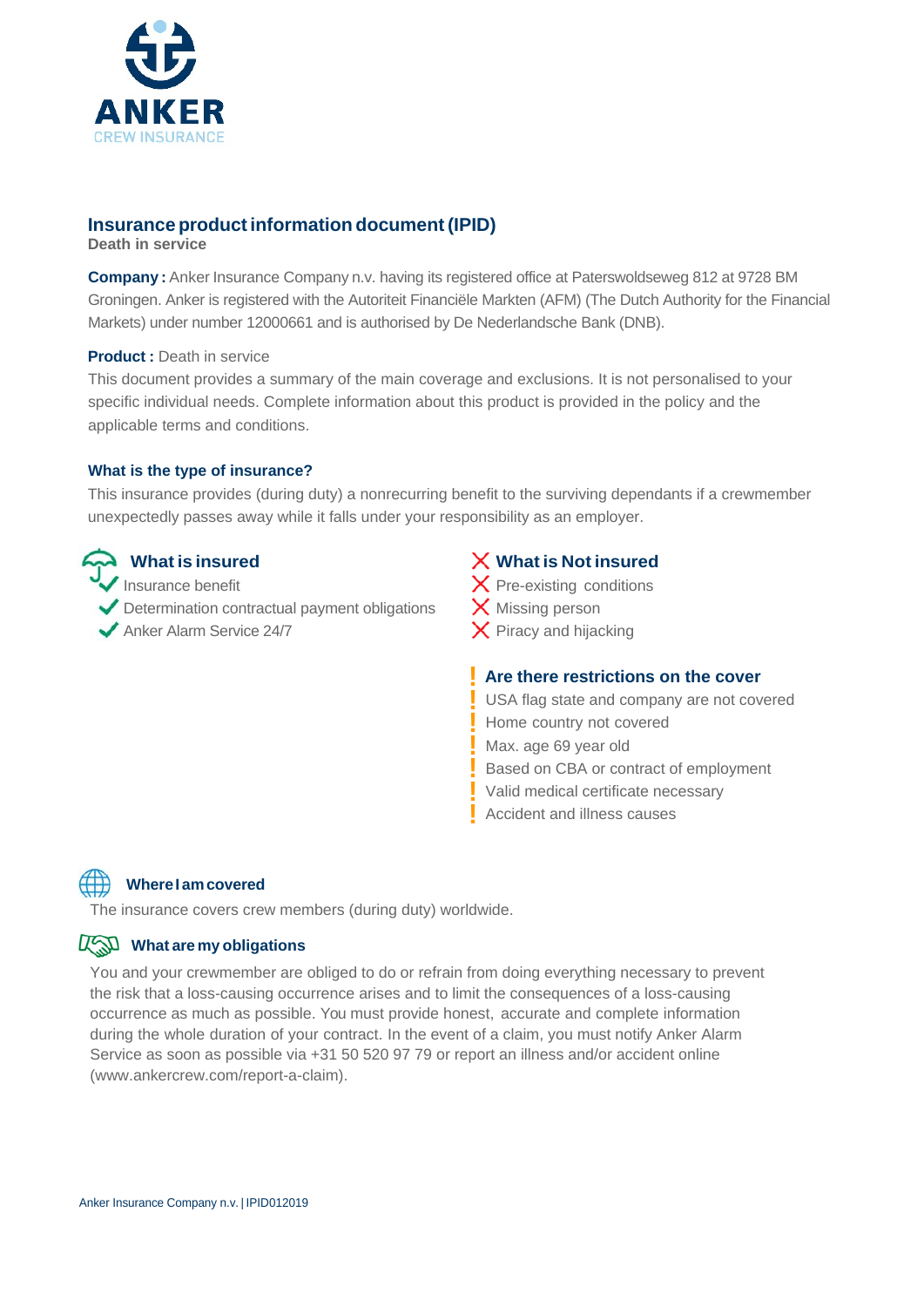

# **Insurance product information document (IPID)**

**Death in service**

**Company :** Anker Insurance Company n.v. having its registered office at Paterswoldseweg 812 at 9728 BM Groningen. Anker is registered with the Autoriteit Financiële Markten (AFM) (The Dutch Authority for the Financial Markets) under number 12000661 and is authorised by De Nederlandsche Bank (DNB).

### **Product :** Death in service

This document provides a summary of the main coverage and exclusions. It is not personalised to your specific individual needs. Complete information about this product is provided in the policy and the applicable terms and conditions.

### **What is the type of insurance?**

This insurance provides (during duty) a nonrecurring benefit to the surviving dependants if a crewmember unexpectedly passes away while it falls under your responsibility as an employer.

Insurance benefit Determination contractual payment obligations

 $\blacktriangledown$  Anker Alarm Service 24/7  $\blacktriangledown$  Piracy and hijacking

# **What is insured What is Not insured**

 $\times$  Pre-existing conditions  $\times$  Missing person

## **! Are there restrictions on the cover**

**!** USA flag state and company are not covered **!** Home country not covered **!** Max. age 69 year old **!** Based on CBA or contract of employment **!** Valid medical certificate necessary **!** Accident and illness causes

**Where I am covered**

The insurance covers crew members (during duty) worldwide.

## What are my obligations

You and your crewmember are obliged to do or refrain from doing everything necessary to prevent the risk that a loss-causing occurrence arises and to limit the consequences of a loss-causing occurrence as much as possible. You must provide honest, accurate and complete information during the whole duration of your contract. In the event of a claim, you must notify Anker Alarm Service as soon as possible via +31 50 520 97 79 or report an illness and/or accident online (www.ankercrew.com/report-a-claim).